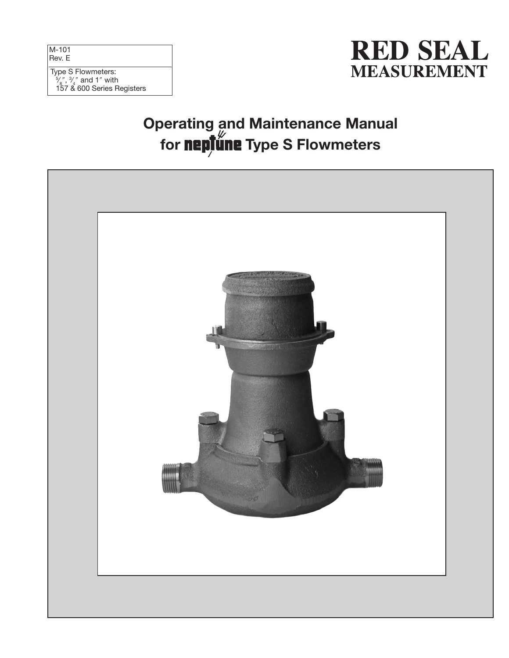M-101 Rev. E

#### Type S Flowmeters:  $\frac{5}{8}$ ",  $\frac{3}{4}$ " and 1" with ⁄ ⁄ 157 & 600 Series Registers



# Operating and Maintenance Manual for **neplune** Type S Flowmeters

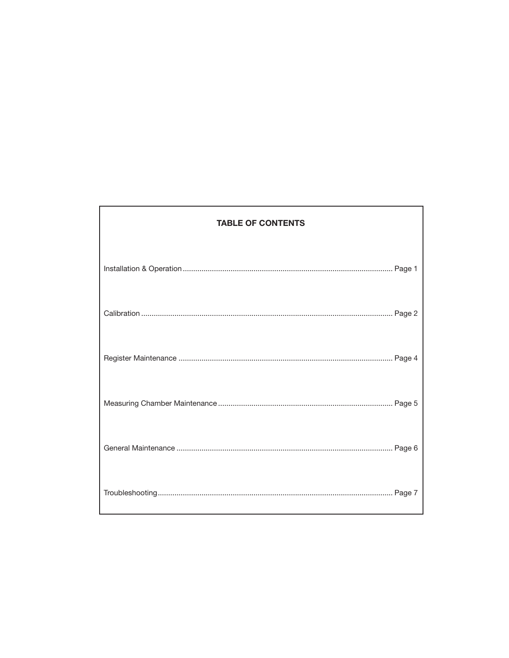| <b>TABLE OF CONTENTS</b> |
|--------------------------|
|                          |
|                          |
|                          |
|                          |
|                          |
|                          |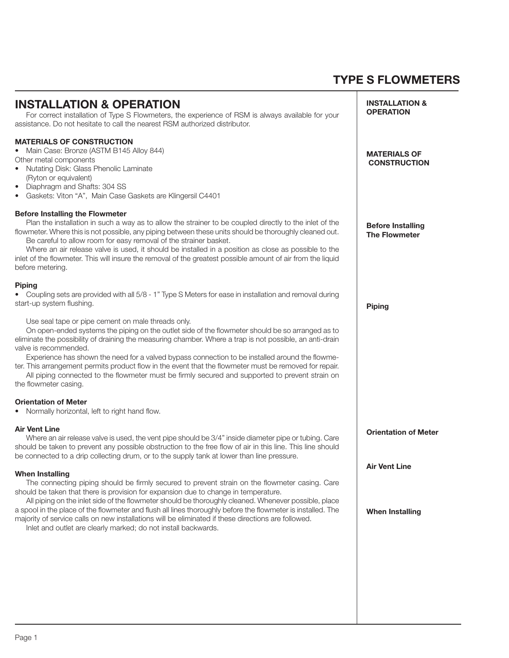## TYPE S FLOWMETERS

| <b>INSTALLATION &amp;</b><br><b>INSTALLATION &amp; OPERATION</b><br><b>OPERATION</b><br>For correct installation of Type S Flowmeters, the experience of RSM is always available for your<br>assistance. Do not hesitate to call the nearest RSM authorized distributor.                                                                                                                                                                                                                                                                                                                                                             |  |
|--------------------------------------------------------------------------------------------------------------------------------------------------------------------------------------------------------------------------------------------------------------------------------------------------------------------------------------------------------------------------------------------------------------------------------------------------------------------------------------------------------------------------------------------------------------------------------------------------------------------------------------|--|
| <b>MATERIALS OF CONSTRUCTION</b><br>Main Case: Bronze (ASTM B145 Alloy 844)<br><b>MATERIALS OF</b><br>Other metal components<br><b>CONSTRUCTION</b><br>• Nutating Disk: Glass Phenolic Laminate<br>(Ryton or equivalent)<br>Diaphragm and Shafts: 304 SS<br>$\bullet$<br>Gaskets: Viton "A", Main Case Gaskets are Klingersil C4401                                                                                                                                                                                                                                                                                                  |  |
| <b>Before Installing the Flowmeter</b><br>Plan the installation in such a way as to allow the strainer to be coupled directly to the inlet of the<br><b>Before Installing</b><br>flowmeter. Where this is not possible, any piping between these units should be thoroughly cleaned out.<br><b>The Flowmeter</b><br>Be careful to allow room for easy removal of the strainer basket.<br>Where an air release valve is used, it should be installed in a position as close as possible to the<br>inlet of the flowmeter. This will insure the removal of the greatest possible amount of air from the liquid<br>before metering.     |  |
| <b>Piping</b><br>• Coupling sets are provided with all 5/8 - 1" Type S Meters for ease in installation and removal during<br>start-up system flushing.<br><b>Piping</b>                                                                                                                                                                                                                                                                                                                                                                                                                                                              |  |
| Use seal tape or pipe cement on male threads only.<br>On open-ended systems the piping on the outlet side of the flowmeter should be so arranged as to<br>eliminate the possibility of draining the measuring chamber. Where a trap is not possible, an anti-drain<br>valve is recommended.<br>Experience has shown the need for a valved bypass connection to be installed around the flowme-<br>ter. This arrangement permits product flow in the event that the flowmeter must be removed for repair.<br>All piping connected to the flowmeter must be firmly secured and supported to prevent strain on<br>the flowmeter casing. |  |
| <b>Orientation of Meter</b><br>• Normally horizontal, left to right hand flow.                                                                                                                                                                                                                                                                                                                                                                                                                                                                                                                                                       |  |
| <b>Air Vent Line</b><br><b>Orientation of Meter</b><br>Where an air release valve is used, the vent pipe should be 3/4" inside diameter pipe or tubing. Care<br>should be taken to prevent any possible obstruction to the free flow of air in this line. This line should<br>be connected to a drip collecting drum, or to the supply tank at lower than line pressure.                                                                                                                                                                                                                                                             |  |
| <b>Air Vent Line</b><br><b>When Installing</b>                                                                                                                                                                                                                                                                                                                                                                                                                                                                                                                                                                                       |  |
| The connecting piping should be firmly secured to prevent strain on the flowmeter casing. Care<br>should be taken that there is provision for expansion due to change in temperature.<br>All piping on the inlet side of the flowmeter should be thoroughly cleaned. Whenever possible, place<br>a spool in the place of the flowmeter and flush all lines thoroughly before the flowmeter is installed. The<br><b>When Installing</b><br>majority of service calls on new installations will be eliminated if these directions are followed.<br>Inlet and outlet are clearly marked; do not install backwards.                      |  |
|                                                                                                                                                                                                                                                                                                                                                                                                                                                                                                                                                                                                                                      |  |
|                                                                                                                                                                                                                                                                                                                                                                                                                                                                                                                                                                                                                                      |  |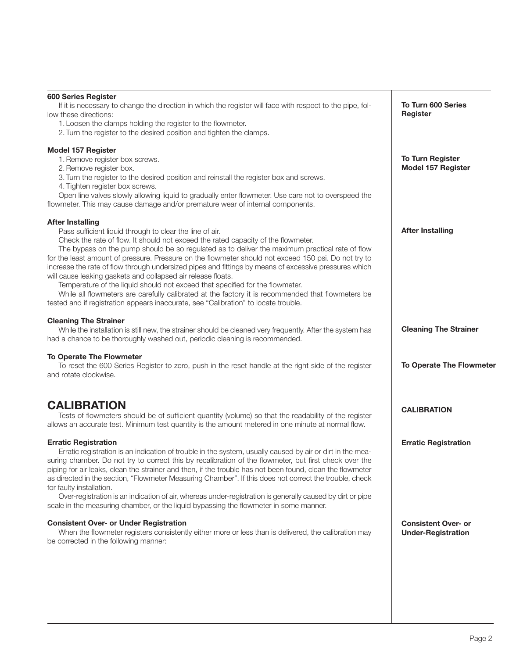| <b>600 Series Register</b><br>If it is necessary to change the direction in which the register will face with respect to the pipe, fol-<br>low these directions:<br>1. Loosen the clamps holding the register to the flowmeter.<br>2. Turn the register to the desired position and tighten the clamps.                                                                                                                                                                                                                                                                                                                                                                                                                                                                                                                                  | <b>To Turn 600 Series</b><br>Register                   |
|------------------------------------------------------------------------------------------------------------------------------------------------------------------------------------------------------------------------------------------------------------------------------------------------------------------------------------------------------------------------------------------------------------------------------------------------------------------------------------------------------------------------------------------------------------------------------------------------------------------------------------------------------------------------------------------------------------------------------------------------------------------------------------------------------------------------------------------|---------------------------------------------------------|
| Model 157 Register<br>1. Remove register box screws.<br>2. Remove register box.<br>3. Turn the register to the desired position and reinstall the register box and screws.<br>4. Tighten register box screws.<br>Open line valves slowly allowing liquid to gradually enter flowmeter. Use care not to overspeed the<br>flowmeter. This may cause damage and/or premature wear of internal components.                                                                                                                                                                                                                                                                                                                                                                                                                                   | <b>To Turn Register</b><br><b>Model 157 Register</b>    |
| <b>After Installing</b><br>Pass sufficient liquid through to clear the line of air.<br>Check the rate of flow. It should not exceed the rated capacity of the flowmeter.<br>The bypass on the pump should be so regulated as to deliver the maximum practical rate of flow<br>for the least amount of pressure. Pressure on the flowmeter should not exceed 150 psi. Do not try to<br>increase the rate of flow through undersized pipes and fittings by means of excessive pressures which<br>will cause leaking gaskets and collapsed air release floats.<br>Temperature of the liquid should not exceed that specified for the flowmeter.<br>While all flowmeters are carefully calibrated at the factory it is recommended that flowmeters be<br>tested and if registration appears inaccurate, see "Calibration" to locate trouble. | <b>After Installing</b>                                 |
| <b>Cleaning The Strainer</b><br>While the installation is still new, the strainer should be cleaned very frequently. After the system has<br>had a chance to be thoroughly washed out, periodic cleaning is recommended.                                                                                                                                                                                                                                                                                                                                                                                                                                                                                                                                                                                                                 | <b>Cleaning The Strainer</b>                            |
| To Operate The Flowmeter<br>To reset the 600 Series Register to zero, push in the reset handle at the right side of the register<br>and rotate clockwise.                                                                                                                                                                                                                                                                                                                                                                                                                                                                                                                                                                                                                                                                                | To Operate The Flowmeter                                |
| <b>CALIBRATION</b><br>Tests of flowmeters should be of sufficient quantity (volume) so that the readability of the register<br>allows an accurate test. Minimum test quantity is the amount metered in one minute at normal flow.                                                                                                                                                                                                                                                                                                                                                                                                                                                                                                                                                                                                        | <b>CALIBRATION</b>                                      |
| <b>Erratic Registration</b><br>Erratic registration is an indication of trouble in the system, usually caused by air or dirt in the mea-<br>suring chamber. Do not try to correct this by recalibration of the flowmeter, but first check over the<br>piping for air leaks, clean the strainer and then, if the trouble has not been found, clean the flowmeter<br>as directed in the section, "Flowmeter Measuring Chamber". If this does not correct the trouble, check<br>for faulty installation.<br>Over-registration is an indication of air, whereas under-registration is generally caused by dirt or pipe<br>scale in the measuring chamber, or the liquid bypassing the flowmeter in some manner.                                                                                                                              | <b>Erratic Registration</b>                             |
| <b>Consistent Over- or Under Registration</b><br>When the flowmeter registers consistently either more or less than is delivered, the calibration may<br>be corrected in the following manner:                                                                                                                                                                                                                                                                                                                                                                                                                                                                                                                                                                                                                                           | <b>Consistent Over- or</b><br><b>Under-Registration</b> |
|                                                                                                                                                                                                                                                                                                                                                                                                                                                                                                                                                                                                                                                                                                                                                                                                                                          |                                                         |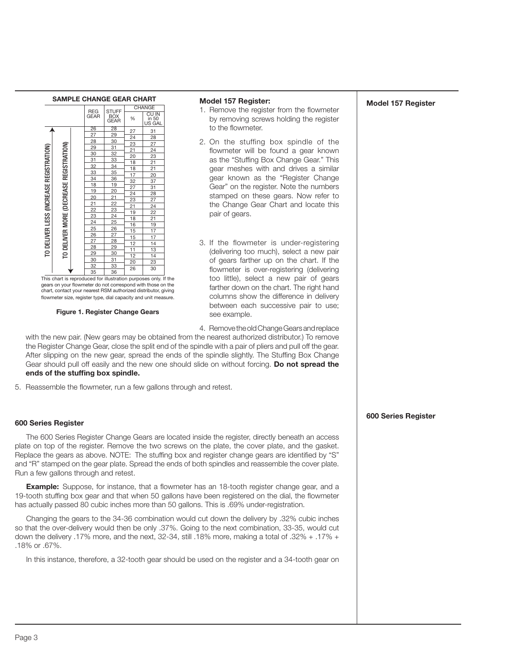



chart, contact your nearest RSM authorized distributor, giving flowmeter size, register type, dial capacity and unit measure.

#### Figure 1. Register Change Gears

#### Model 157 Register:

- 1. Remove the register from the flowmeter by removing screws holding the register to the flowmeter.
- 2. On the stuffing box spindle of the flowmeter will be found a gear known as the "Stuffing Box Change Gear." This gear meshes with and drives a similar gear known as the "Register Change Gear" on the register. Note the numbers stamped on these gears. Now refer to the Change Gear Chart and locate this pair of gears.
- 3. If the flowmeter is under-registering (delivering too much), select a new pair of gears farther up on the chart. If the flowmeter is over-registering (delivering too little), select a new pair of gears farther down on the chart. The right hand columns show the difference in delivery between each successive pair to use; see example.

4. Remove the old Change Gears and replace

with the new pair. (New gears may be obtained from the nearest authorized distributor.) To remove the Register Change Gear, close the split end of the spindle with a pair of pliers and pull off the gear. After slipping on the new gear, spread the ends of the spindle slightly. The Stuffing Box Change Gear should pull off easily and the new one should slide on without forcing. Do not spread the ends of the stuffing box spindle.

5. Reassemble the flowmeter, run a few gallons through and retest.

## 600 Series Register

The 600 Series Register Change Gears are located inside the register, directly beneath an access plate on top of the register. Remove the two screws on the plate, the cover plate, and the gasket. Replace the gears as above. NOTE: The stuffing box and register change gears are identified by "S" and "R" stamped on the gear plate. Spread the ends of both spindles and reassemble the cover plate. Run a few gallons through and retest.

**Example:** Suppose, for instance, that a flowmeter has an 18-tooth register change gear, and a 19-tooth stuffing box gear and that when 50 gallons have been registered on the dial, the flowmeter has actually passed 80 cubic inches more than 50 gallons. This is .69% under-registration.

Changing the gears to the 34-36 combination would cut down the delivery by .32% cubic inches so that the over-delivery would then be only .37%. Going to the next combination, 33-35, would cut down the delivery .17% more, and the next, 32-34, still .18% more, making a total of .32% + .17% + .18% or .67%.

In this instance, therefore, a 32-tooth gear should be used on the register and a 34-tooth gear on

600 Series Register

Model 157 Register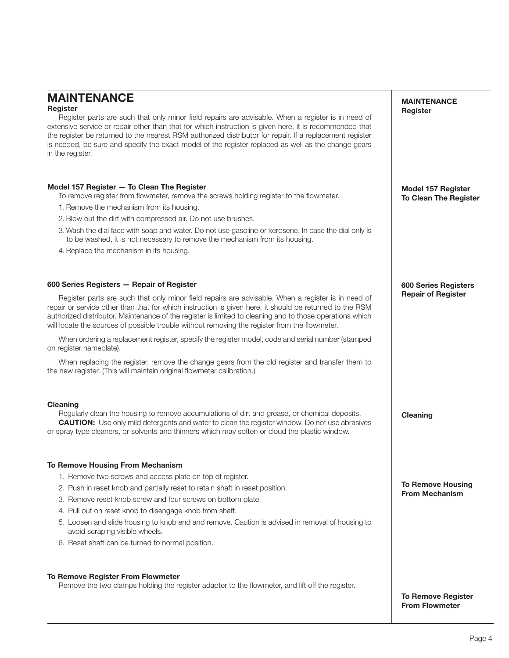## MAINTENANCE

## Register

Register parts are such that only minor field repairs are advisable. When a register is in need of extensive service or repair other than that for which instruction is given here, it is recommended that the register be returned to the nearest RSM authorized distributor for repair. If a replacement register is needed, be sure and specify the exact model of the register replaced as well as the change gears in the register.

## Model 157 Register — To Clean The Register

To remove register from flowmeter, remove the screws holding register to the flowmeter.

- 1. Remove the mechanism from its housing.
- 2. Blow out the dirt with compressed air. Do not use brushes.
- 3. Wash the dial face with soap and water. Do not use gasoline or kerosene. In case the dial only is to be washed, it is not necessary to remove the mechanism from its housing.
- 4. Replace the mechanism in its housing.

### 600 Series Registers — Repair of Register

Register parts are such that only minor field repairs are advisable. When a register is in need of repair or service other than that for which instruction is given here, it should be returned to the RSM authorized distributor. Maintenance of the register is limited to cleaning and to those operations which will locate the sources of possible trouble without removing the register from the flowmeter.

When ordering a replacement register, specify the register model, code and serial number (stamped on register nameplate).

When replacing the register, remove the change gears from the old register and transfer them to the new register. (This will maintain original flowmeter calibration.)

#### Cleaning

Regularly clean the housing to remove accumulations of dirt and grease, or chemical deposits. **CAUTION:** Use only mild detergents and water to clean the register window. Do not use abrasives or spray type cleaners, or solvents and thinners which may soften or cloud the plastic window.

### To Remove Housing From Mechanism

- 1. Remove two screws and access plate on top of register.
- 2. Push in reset knob and partially reset to retain shaft in reset position.
- 3. Remove reset knob screw and four screws on bottom plate.
- 4. Pull out on reset knob to disengage knob from shaft.
- 5. Loosen and slide housing to knob end and remove. Caution is advised in removal of housing to avoid scraping visible wheels.
- 6. Reset shaft can be turned to normal position.

#### To Remove Register From Flowmeter

Remove the two clamps holding the register adapter to the flowmeter, and lift off the register.

MAINTENANCE Register

Model 157 Register To Clean The Register

600 Series Registers Repair of Register

Cleaning

To Remove Housing From Mechanism

To Remove Register From Flowmeter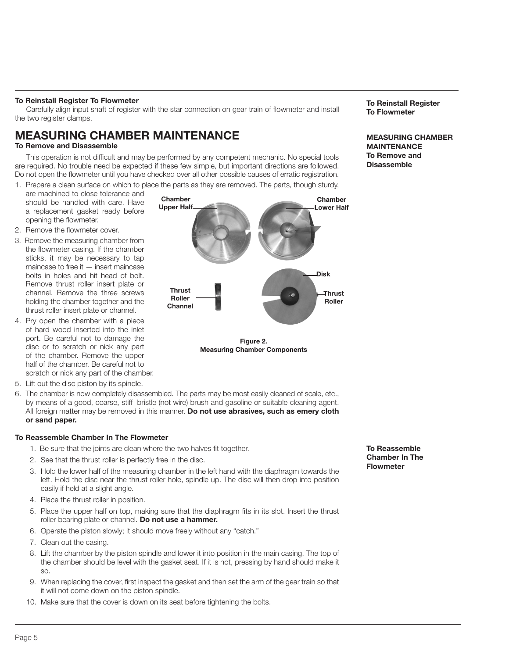## To Reinstall Register To Flowmeter

Carefully align input shaft of register with the star connection on gear train of flowmeter and install the two register clamps.

# MEASURING CHAMBER MAINTENANCE

## To Remove and Disassemble

This operation is not difficult and may be performed by any competent mechanic. No special tools are required. No trouble need be expected if these few simple, but important directions are followed. Do not open the flowmeter until you have checked over all other possible causes of erratic registration.

1. Prepare a clean surface on which to place the parts as they are removed. The parts, though sturdy,

- are machined to close tolerance and should be handled with care. Have a replacement gasket ready before opening the flowmeter.
- 2. Remove the flowmeter cover.
- 3. Remove the measuring chamber from the flowmeter casing. If the chamber sticks, it may be necessary to tap maincase to free it — insert maincase bolts in holes and hit head of bolt. Remove thrust roller insert plate or channel. Remove the three screws holding the chamber together and the thrust roller insert plate or channel.
- 4. Pry open the chamber with a piece of hard wood inserted into the inlet port. Be careful not to damage the disc or to scratch or nick any part of the chamber. Remove the upper half of the chamber. Be careful not to scratch or nick any part of the chamber.
- 5. Lift out the disc piston by its spindle.
- 6. The chamber is now completely disassembled. The parts may be most easily cleaned of scale, etc., by means of a good, coarse, stiff bristle (not wire) brush and gasoline or suitable cleaning agent. All foreign matter may be removed in this manner. Do not use abrasives, such as emery cloth or sand paper.

## To Reassemble Chamber In The Flowmeter

- 1. Be sure that the joints are clean where the two halves fit together.
- 2. See that the thrust roller is perfectly free in the disc.
- 3. Hold the lower half of the measuring chamber in the left hand with the diaphragm towards the left. Hold the disc near the thrust roller hole, spindle up. The disc will then drop into position easily if held at a slight angle.
- 4. Place the thrust roller in position.
- 5. Place the upper half on top, making sure that the diaphragm fits in its slot. Insert the thrust roller bearing plate or channel. Do not use a hammer.
- 6. Operate the piston slowly; it should move freely without any "catch."
- 7. Clean out the casing.
- 8. Lift the chamber by the piston spindle and lower it into position in the main casing. The top of the chamber should be level with the gasket seat. If it is not, pressing by hand should make it so.
- 9. When replacing the cover, first inspect the gasket and then set the arm of the gear train so that it will not come down on the piston spindle.
- 10. Make sure that the cover is down on its seat before tightening the bolts.

To Reinstall Register To Flowmeter

MEASURING CHAMBER MAINTENANCE To Remove and **Disassemble** 

To Reassemble Chamber In The Flowmeter



Figure 2. Measuring Chamber Components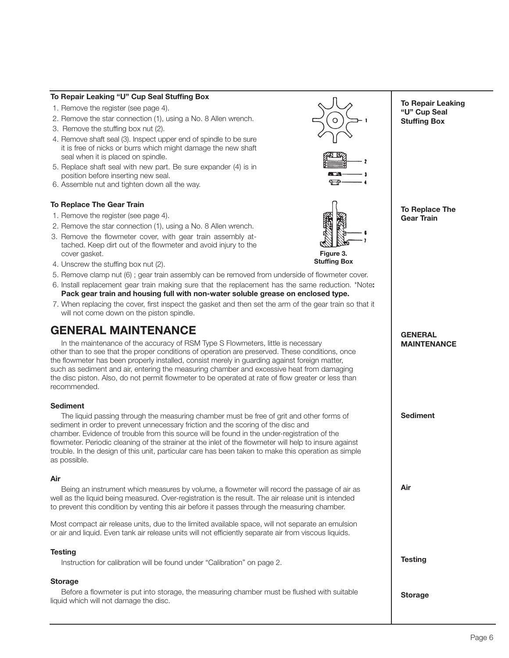## To Repair Leaking "U" Cup Seal Stuffing Box

- 1. Remove the register (see page 4).
- 2. Remove the star connection (1), using a No. 8 Allen wrench.
- 3. Remove the stuffing box nut (2).
- 4. Remove shaft seal (3). Inspect upper end of spindle to be sure it is free of nicks or burrs which might damage the new shaft seal when it is placed on spindle.
- 5. Replace shaft seal with new part. Be sure expander (4) is in position before inserting new seal.
- 6. Assemble nut and tighten down all the way.

#### To Replace The Gear Train

- 1. Remove the register (see page 4).
- 2. Remove the star connection (1), using a No. 8 Allen wrench.
- 3. Remove the flowmeter cover, with gear train assembly attached. Keep dirt out of the flowmeter and avoid injury to the cover gasket.
- 4. Unscrew the stuffing box nut (2).
- 5. Remove clamp nut (6) ; gear train assembly can be removed from underside of flowmeter cover.
- 6. Install replacement gear train making sure that the replacement has the same reduction. \*Note: Pack gear train and housing full with non-water soluble grease on enclosed type.
- 7. When replacing the cover, first inspect the gasket and then set the arm of the gear train so that it will not come down on the piston spindle.

## GENERAL MAINTENANCE

In the maintenance of the accuracy of RSM Type S Flowmeters, little is necessary other than to see that the proper conditions of operation are preserved. These conditions, once the flowmeter has been properly installed, consist merely in guarding against foreign matter, such as sediment and air, entering the measuring chamber and excessive heat from damaging the disc piston. Also, do not permit flowmeter to be operated at rate of flow greater or less than recommended.

## Sediment

 The liquid passing through the measuring chamber must be free of grit and other forms of sediment in order to prevent unnecessary friction and the scoring of the disc and chamber. Evidence of trouble from this source will be found in the under-registration of the flowmeter. Periodic cleaning of the strainer at the inlet of the flowmeter will help to insure against trouble. In the design of this unit, particular care has been taken to make this operation as simple as possible.

## Air

 Being an instrument which measures by volume, a flowmeter will record the passage of air as well as the liquid being measured. Over-registration is the result. The air release unit is intended to prevent this condition by venting this air before it passes through the measuring chamber.

Most compact air release units, due to the limited available space, will not separate an emulsion or air and liquid. Even tank air release units will not efficiently separate air from viscous liquids.

## **Testing**

 Instruction for calibration will be found under "Calibration" on page 2.

## **Storage**

 Before a flowmeter is put into storage, the measuring chamber must be flushed with suitable liquid which will not damage the disc.





"U" Cup Seal Stuffing Box

To Repair Leaking

To Replace The Gear Train

## **GENERAL** MAINTENANCE

Sediment

Air

**Testing** 

Storage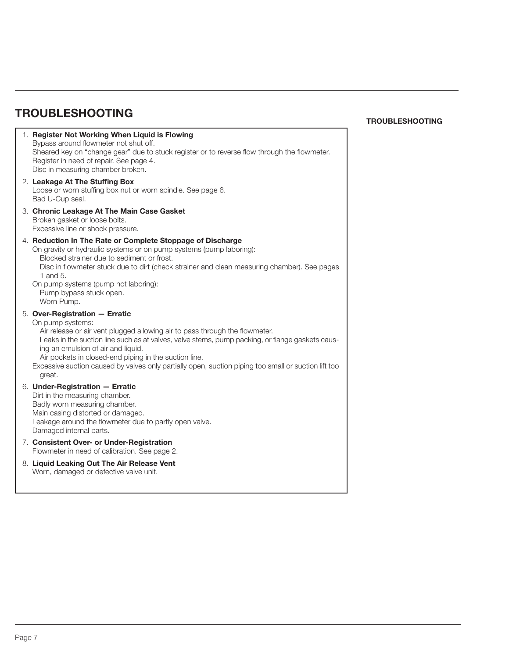| <b>TROUBLESHOOTING</b>                                                                                                                                                                                                                                                                                                                                                                                                                                |
|-------------------------------------------------------------------------------------------------------------------------------------------------------------------------------------------------------------------------------------------------------------------------------------------------------------------------------------------------------------------------------------------------------------------------------------------------------|
| 1. Register Not Working When Liquid is Flowing<br>Bypass around flowmeter not shut off.<br>Sheared key on "change gear" due to stuck register or to reverse flow through the flowmeter.<br>Register in need of repair. See page 4.<br>Disc in measuring chamber broken.                                                                                                                                                                               |
| 2. Leakage At The Stuffing Box<br>Loose or worn stuffing box nut or worn spindle. See page 6.<br>Bad U-Cup seal.                                                                                                                                                                                                                                                                                                                                      |
| 3. Chronic Leakage At The Main Case Gasket<br>Broken gasket or loose bolts.<br>Excessive line or shock pressure.                                                                                                                                                                                                                                                                                                                                      |
| 4. Reduction In The Rate or Complete Stoppage of Discharge<br>On gravity or hydraulic systems or on pump systems (pump laboring):<br>Blocked strainer due to sediment or frost.<br>Disc in flowmeter stuck due to dirt (check strainer and clean measuring chamber). See pages<br>1 and 5.<br>On pump systems (pump not laboring):<br>Pump bypass stuck open.<br>Worn Pump.                                                                           |
| 5. Over-Registration - Erratic<br>On pump systems:<br>Air release or air vent plugged allowing air to pass through the flowmeter.<br>Leaks in the suction line such as at valves, valve stems, pump packing, or flange gaskets caus-<br>ing an emulsion of air and liquid.<br>Air pockets in closed-end piping in the suction line.<br>Excessive suction caused by valves only partially open, suction piping too small or suction lift too<br>great. |
| 6. Under-Registration - Erratic<br>Dirt in the measuring chamber.<br>Badly worn measuring chamber.<br>Main casing distorted or damaged.<br>Leakage around the flowmeter due to partly open valve.<br>Damaged internal parts.                                                                                                                                                                                                                          |
| 7. Consistent Over- or Under-Registration<br>Flowmeter in need of calibration. See page 2.                                                                                                                                                                                                                                                                                                                                                            |
| 8. Liquid Leaking Out The Air Release Vent<br>Worn, damaged or defective valve unit.                                                                                                                                                                                                                                                                                                                                                                  |
|                                                                                                                                                                                                                                                                                                                                                                                                                                                       |

## TROUBLESHOOTING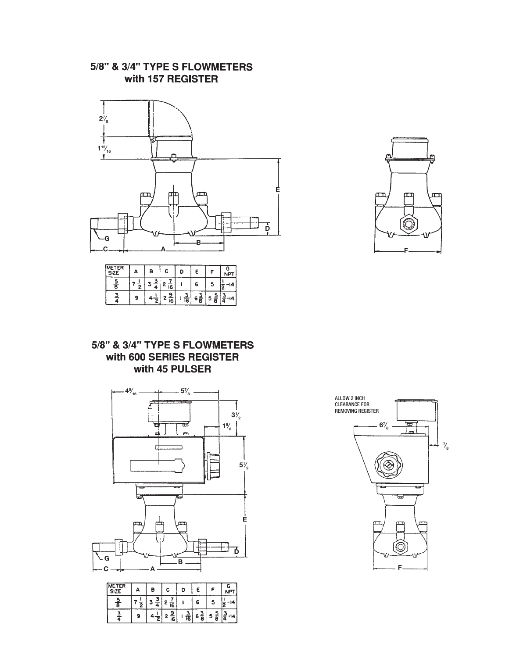## 5/8" & 3/4" TYPE S FLOWMETERS with 157 REGISTER



| METER<br><b>SIZE</b> |   | Β |        |   |             |   |  |
|----------------------|---|---|--------|---|-------------|---|--|
|                      |   |   | c<br>6 |   | Б           | ⊐ |  |
|                      | 9 |   | 16     | 6 | 6<br>o<br>о | о |  |

# ι Ē F

## 5/8" & 3/4" TYPE S FLOWMETERS with 600 SERIES REGISTER with 45 PULSER



| <b>NETER</b><br>SIZI | o | Β |         | D  |   |   |  |
|----------------------|---|---|---------|----|---|---|--|
|                      |   |   | e<br>16 |    | 6 | ۰ |  |
|                      |   |   | ≏<br>I6 | 16 | 6 | ⋴ |  |